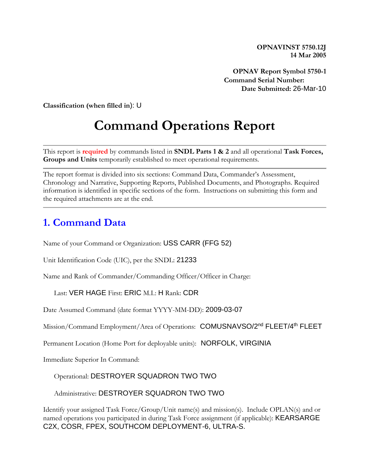**OPNAVINST 5750.12J 14 Mar 2005**

**OPNAV Report Symbol 5750-1 Command Serial Number: Date Submitted:** 26-Mar-10

**Classification (when filled in**): U

# **Command Operations Report**

This report is **required** by commands listed in **SNDL Parts 1 & 2** and all operational **Task Forces, Groups and Units** temporarily established to meet operational requirements.

The report format is divided into six sections: Command Data, Commander's Assessment, Chronology and Narrative, Supporting Reports, Published Documents, and Photographs. Required information is identified in specific sections of the form. Instructions on submitting this form and the required attachments are at the end.

#### **1. Command Data**

Name of your Command or Organization: USS CARR (FFG 52)

Unit Identification Code (UIC), per the SNDL: 21233

Name and Rank of Commander/Commanding Officer/Officer in Charge:

Last: VER HAGE First: ERIC M.I.: H Rank: CDR

Date Assumed Command (date format YYYY-MM-DD): 2009-03-07

Mission/Command Employment/Area of Operations: COMUSNAVSO/2<sup>nd</sup> FLEET/4<sup>th</sup> FLEET

Permanent Location (Home Port for deployable units): NORFOLK, VIRGINIA

Immediate Superior In Command:

#### Operational: DESTROYER SQUADRON TWO TWO

Administrative: DESTROYER SQUADRON TWO TWO

Identify your assigned Task Force/Group/Unit name(s) and mission(s). Include OPLAN(s) and or named operations you participated in during Task Force assignment (if applicable): KEARSARGE C2X, COSR, FPEX, SOUTHCOM DEPLOYMENT-6, ULTRA-S.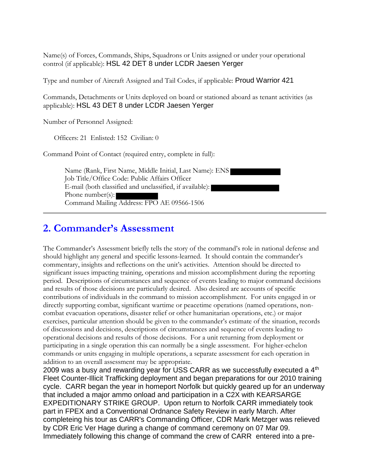Name(s) of Forces, Commands, Ships, Squadrons or Units assigned or under your operational control (if applicable): HSL 42 DET 8 under LCDR Jaesen Yerger

Type and number of Aircraft Assigned and Tail Codes, if applicable: Proud Warrior 421

Commands, Detachments or Units deployed on board or stationed aboard as tenant activities (as applicable): HSL 43 DET 8 under LCDR Jaesen Yerger

Number of Personnel Assigned:

Officers: 21 Enlisted: 152 Civilian: 0

Command Point of Contact (required entry, complete in full):

Name (Rank, First Name, Middle Initial, Last Name): ENS Job Title/Office Code: Public Affairs Officer E-mail (both classified and unclassified, if available): Phone number(s): Command Mailing Address: FPO AE 09566-1506

#### **2. Commander's Assessment**

The Commander's Assessment briefly tells the story of the command's role in national defense and should highlight any general and specific lessons-learned. It should contain the commander's commentary, insights and reflections on the unit's activities. Attention should be directed to significant issues impacting training, operations and mission accomplishment during the reporting period. Descriptions of circumstances and sequence of events leading to major command decisions and results of those decisions are particularly desired. Also desired are accounts of specific contributions of individuals in the command to mission accomplishment. For units engaged in or directly supporting combat, significant wartime or peacetime operations (named operations, noncombat evacuation operations, disaster relief or other humanitarian operations, etc.) or major exercises, particular attention should be given to the commander's estimate of the situation, records of discussions and decisions, descriptions of circumstances and sequence of events leading to operational decisions and results of those decisions. For a unit returning from deployment or participating in a single operation this can normally be a single assessment. For higher-echelon commands or units engaging in multiple operations, a separate assessment for each operation in addition to an overall assessment may be appropriate.

2009 was a busy and rewarding year for USS CARR as we successfully executed a 4<sup>th</sup> Fleet Counter-Illicit Trafficking deployment and began preparations for our 2010 training cycle. CARR began the year in homeport Norfolk but quickly geared up for an underway that included a major ammo onload and participation in a C2X with KEARSARGE EXPEDITIONARY STRIKE GROUP. Upon return to Norfolk CARR immediately took part in FPEX and a Conventional Ordnance Safety Review in early March. After completeing his tour as CARR's Commanding Officer, CDR Mark Metzger was relieved by CDR Eric Ver Hage during a change of command ceremony on 07 Mar 09. Immediately following this change of command the crew of CARR entered into a pre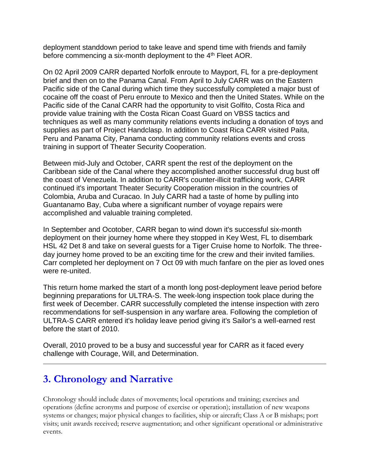deployment standdown period to take leave and spend time with friends and family before commencing a six-month deployment to the 4<sup>th</sup> Fleet AOR.

On 02 April 2009 CARR departed Norfolk enroute to Mayport, FL for a pre-deployment brief and then on to the Panama Canal. From April to July CARR was on the Eastern Pacific side of the Canal during which time they successfully completed a major bust of cocaine off the coast of Peru enroute to Mexico and then the United States. While on the Pacific side of the Canal CARR had the opportunity to visit Golfito, Costa Rica and provide value training with the Costa Rican Coast Guard on VBSS tactics and techniques as well as many community relations events including a donation of toys and supplies as part of Project Handclasp. In addition to Coast Rica CARR visited Paita, Peru and Panama City, Panama conducting community relations events and cross training in support of Theater Security Cooperation.

Between mid-July and October, CARR spent the rest of the deployment on the Caribbean side of the Canal where they accomplished another successful drug bust off the coast of Venezuela. In addition to CARR's counter-illicit trafficking work, CARR continued it's important Theater Security Cooperation mission in the countries of Colombia, Aruba and Curacao. In July CARR had a taste of home by pulling into Guantanamo Bay, Cuba where a significant number of voyage repairs were accomplished and valuable training completed.

In September and Ocotober, CARR began to wind down it's successful six-month deployment on their journey home where they stopped in Key West, FL to disembark HSL 42 Det 8 and take on several guests for a Tiger Cruise home to Norfolk. The threeday journey home proved to be an exciting time for the crew and their invited families. Carr completed her deployment on 7 Oct 09 with much fanfare on the pier as loved ones were re-united.

This return home marked the start of a month long post-deployment leave period before beginning preparations for ULTRA-S. The week-long inspection took place during the first week of December. CARR successfully completed the intense inspection with zero recommendations for self-suspension in any warfare area. Following the completion of ULTRA-S CARR entered it's holiday leave period giving it's Sailor's a well-earned rest before the start of 2010.

Overall, 2010 proved to be a busy and successful year for CARR as it faced every challenge with Courage, Will, and Determination.

### **3. Chronology and Narrative**

Chronology should include dates of movements; local operations and training; exercises and operations (define acronyms and purpose of exercise or operation); installation of new weapons systems or changes; major physical changes to facilities, ship or aircraft; Class A or B mishaps; port visits; unit awards received; reserve augmentation; and other significant operational or administrative events.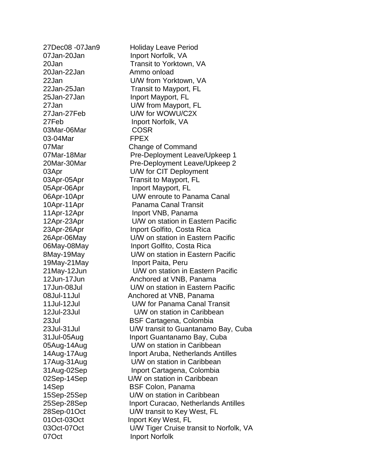20Jan-22Jan Ammo onload 03Mar-06Mar COSR 03-04Mar FPEX 07Oct Inport Norfolk

27Dec08 -07Jan9 Holiday Leave Period 07Jan-20Jan Inport Norfolk, VA 20Jan Transit to Yorktown, VA 22Jan U/W from Yorktown, VA 22Jan-25Jan Transit to Mayport, FL 25Jan-27Jan Inport Mayport, FL 27Jan U/W from Mayport, FL 27Jan-27Feb U/W for WOWU/C2X 27Feb Inport Norfolk, VA 07Mar Change of Command 07Mar-18Mar Pre-Deployment Leave/Upkeep 1 20Mar-30Mar Pre-Deployment Leave/Upkeep 2 03Apr U/W for CIT Deployment 03Apr-05Apr Transit to Mayport, FL 05Apr-06Apr Inport Mayport, FL 06Apr-10Apr U/W enroute to Panama Canal 10Apr-11Apr Panama Canal Transit 11Apr-12Apr Inport VNB, Panama 12Apr-23Apr U/W on station in Eastern Pacific 23Apr-26Apr Inport Golfito, Costa Rica 26Apr-06May U/W on station in Eastern Pacific 06May-08May Inport Golfito, Costa Rica 8May-19May U/W on station in Eastern Pacific 19May-21May **Inport Paita, Peru** 21May-12Jun U/W on station in Eastern Pacific 12Jun-17Jun Anchored at VNB, Panama 17Jun-08Jul U/W on station in Eastern Pacific 08Jul-11Jul Anchored at VNB, Panama 11Jul-12Jul U/W for Panama Canal Transit 12Jul-23Jul U/W on station in Caribbean 23Jul BSF Cartagena, Colombia 23Jul-31Jul U/W transit to Guantanamo Bay, Cuba 31Jul-05Aug Inport Guantanamo Bay, Cuba 05Aug-14Aug U/W on station in Caribbean 14Aug-17Aug Inport Aruba, Netherlands Antilles 17Aug-31Aug U/W on station in Caribbean 31Aug-02Sep Inport Cartagena, Colombia 02Sep-14Sep U/W on station in Caribbean 14Sep BSF Colon, Panama 15Sep-25Sep U/W on station in Caribbean 25Sep-28Sep Inport Curacao, Netherlands Antilles 28Sep-01Oct U/W transit to Key West, FL 01Oct-03Oct Inport Key West, FL 03Oct-07Oct U/W Tiger Cruise transit to Norfolk, VA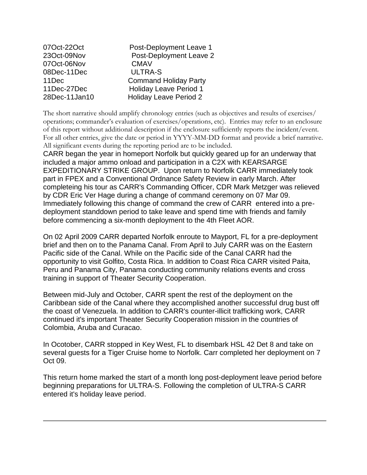| 07Oct-22Oct   | Post-Deployment Leave 1       |
|---------------|-------------------------------|
| 23Oct-09Nov   | Post-Deployment Leave 2       |
| 07Oct-06Nov   | <b>CMAV</b>                   |
| 08Dec-11Dec   | <b>ULTRA-S</b>                |
| 11Dec         | <b>Command Holiday Party</b>  |
| 11Dec-27Dec   | <b>Holiday Leave Period 1</b> |
| 28Dec-11Jan10 | <b>Holiday Leave Period 2</b> |

The short narrative should amplify chronology entries (such as objectives and results of exercises/ operations; commander's evaluation of exercises/operations, etc). Entries may refer to an enclosure of this report without additional description if the enclosure sufficiently reports the incident/event. For all other entries, give the date or period in YYYY-MM-DD format and provide a brief narrative. All significant events during the reporting period are to be included.

CARR began the year in homeport Norfolk but quickly geared up for an underway that included a major ammo onload and participation in a C2X with KEARSARGE EXPEDITIONARY STRIKE GROUP. Upon return to Norfolk CARR immediately took part in FPEX and a Conventional Ordnance Safety Review in early March. After completeing his tour as CARR's Commanding Officer, CDR Mark Metzger was relieved by CDR Eric Ver Hage during a change of command ceremony on 07 Mar 09. Immediately following this change of command the crew of CARR entered into a predeployment standdown period to take leave and spend time with friends and family before commencing a six-month deployment to the 4th Fleet AOR.

On 02 April 2009 CARR departed Norfolk enroute to Mayport, FL for a pre-deployment brief and then on to the Panama Canal. From April to July CARR was on the Eastern Pacific side of the Canal. While on the Pacific side of the Canal CARR had the opportunity to visit Golfito, Costa Rica. In addition to Coast Rica CARR visited Paita, Peru and Panama City, Panama conducting community relations events and cross training in support of Theater Security Cooperation.

Between mid-July and October, CARR spent the rest of the deployment on the Caribbean side of the Canal where they accomplished another successful drug bust off the coast of Venezuela. In addition to CARR's counter-illicit trafficking work, CARR continued it's important Theater Security Cooperation mission in the countries of Colombia, Aruba and Curacao.

In Ocotober, CARR stopped in Key West, FL to disembark HSL 42 Det 8 and take on several guests for a Tiger Cruise home to Norfolk. Carr completed her deployment on 7 Oct 09.

This return home marked the start of a month long post-deployment leave period before beginning preparations for ULTRA-S. Following the completion of ULTRA-S CARR entered it's holiday leave period.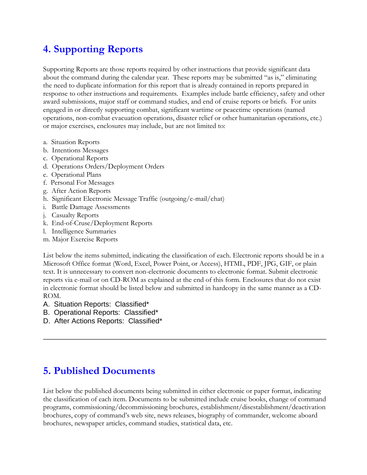## **4. Supporting Reports**

Supporting Reports are those reports required by other instructions that provide significant data about the command during the calendar year. These reports may be submitted "as is," eliminating the need to duplicate information for this report that is already contained in reports prepared in response to other instructions and requirements. Examples include battle efficiency, safety and other award submissions, major staff or command studies, and end of cruise reports or briefs. For units engaged in or directly supporting combat, significant wartime or peacetime operations (named operations, non-combat evacuation operations, disaster relief or other humanitarian operations, etc.) or major exercises, enclosures may include, but are not limited to:

- a. Situation Reports
- b. Intentions Messages
- c. Operational Reports
- d. Operations Orders/Deployment Orders
- e. Operational Plans
- f. Personal For Messages
- g. After Action Reports
- h. Significant Electronic Message Traffic (outgoing/e-mail/chat)
- i. Battle Damage Assessments
- j. Casualty Reports
- k. End-of-Cruse/Deployment Reports
- l. Intelligence Summaries
- m. Major Exercise Reports

List below the items submitted, indicating the classification of each. Electronic reports should be in a Microsoft Office format (Word, Excel, Power Point, or Access), HTML, PDF, JPG, GIF, or plain text. It is unnecessary to convert non-electronic documents to electronic format. Submit electronic reports via e-mail or on CD-ROM as explained at the end of this form. Enclosures that do not exist in electronic format should be listed below and submitted in hardcopy in the same manner as a CD-ROM.

- A. Situation Reports: Classified\*
- B. Operational Reports: Classified\*
- D. After Actions Reports: Classified\*

### **5. Published Documents**

List below the published documents being submitted in either electronic or paper format, indicating the classification of each item. Documents to be submitted include cruise books, change of command programs, commissioning/decommissioning brochures, establishment/disestablishment/deactivation brochures, copy of command's web site, news releases, biography of commander, welcome aboard brochures, newspaper articles, command studies, statistical data, etc.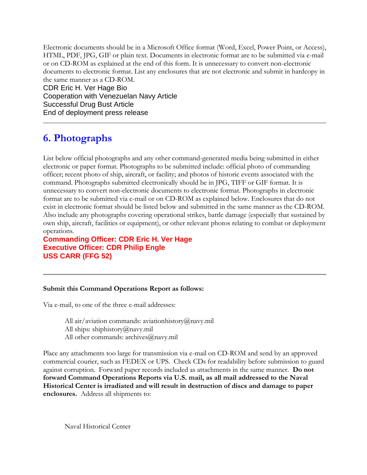Electronic documents should be in a Microsoft Office format (Word, Excel, Power Point, or Access), HTML, PDF, JPG, GIF or plain text. Documents in electronic format are to be submitted via e-mail or on CD-ROM as explained at the end of this form. It is unnecessary to convert non-electronic documents to electronic format. List any enclosures that are not electronic and submit in hardcopy in the same manner as a CD-ROM.

CDR Eric H. Ver Hage Bio Cooperation with Venezuelan Navy Article Successful Drug Bust Article End of deployment press release

# **6. Photographs**

List below official photographs and any other command-generated media being submitted in either electronic or paper format. Photographs to be submitted include: official photo of commanding officer; recent photo of ship, aircraft, or facility; and photos of historic events associated with the command. Photographs submitted electronically should be in JPG, TIFF or GIF format. It is unnecessary to convert non-electronic documents to electronic format. Photographs in electronic format are to be submitted via e-mail or on CD-ROM as explained below. Enclosures that do not exist in electronic format should be listed below and submitted in the same manner as the CD-ROM. Also include any photographs covering operational strikes, battle damage (especially that sustained by own ship, aircraft, facilities or equipment), or other relevant photos relating to combat or deployment operations.

**Commanding Officer: CDR Eric H. Ver Hage Executive Officer: CDR Philip Engle USS CARR (FFG 52)**

#### **Submit this Command Operations Report as follows:**

Via e-mail, to one of the three e-mail addresses:

All air/aviation commands: aviationhistory@navy.mil All ships: shiphistory@navy.mil All other commands: archives@navy.mil

Place any attachments too large for transmission via e-mail on CD-ROM and send by an approved commercial courier, such as FEDEX or UPS. Check CDs for readability before submission to guard against corruption. Forward paper records included as attachments in the same manner. **Do not forward Command Operations Reports via U.S. mail, as all mail addressed to the Naval Historical Center is irradiated and will result in destruction of discs and damage to paper enclosures.** Address all shipments to:

Naval Historical Center